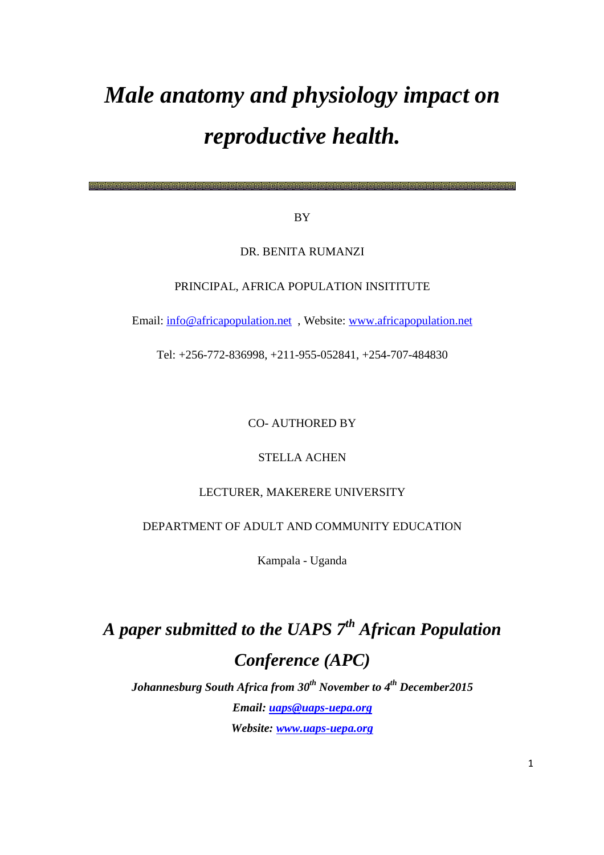# *Male anatomy and physiology impact on reproductive health.*

BY

# DR. BENITA RUMANZI

PRINCIPAL, AFRICA POPULATION INSITITUTE

Email: info@africapopulation.net , Website: www.africapopulation.net

Tel: +256-772-836998, +211-955-052841, +254-707-484830

CO- AUTHORED BY

# STELLA ACHEN

#### LECTURER, MAKERERE UNIVERSITY

# DEPARTMENT OF ADULT AND COMMUNITY EDUCATION

Kampala - Uganda

# *A paper submitted to the UAPS 7th African Population Conference (APC)*

*Johannesburg South Africa from 30th November to 4th December2015 Email: uaps@uaps-uepa.org Website: www.uaps-uepa.org*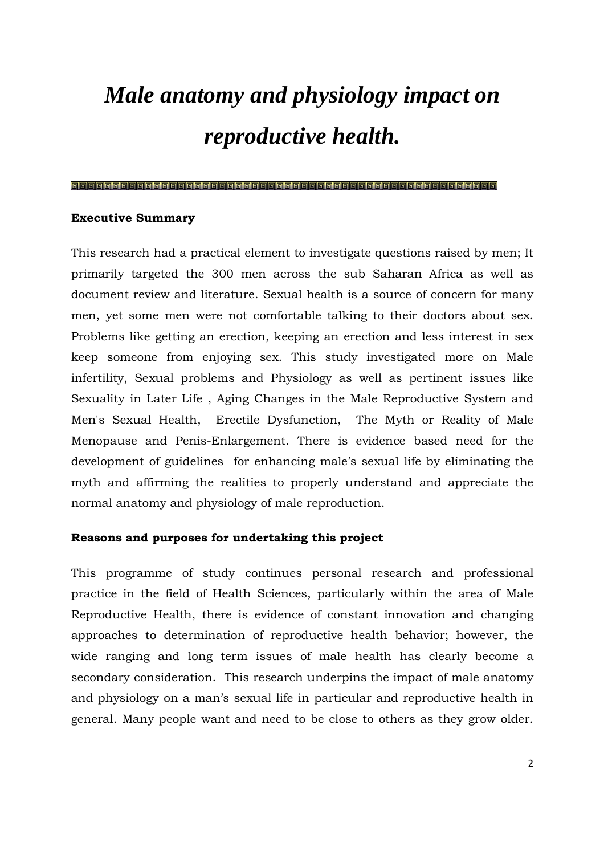# *Male anatomy and physiology impact on reproductive health.*

# **Executive Summary**

This research had a practical element to investigate questions raised by men; It primarily targeted the 300 men across the sub Saharan Africa as well as document review and literature. Sexual health is a source of concern for many men, yet some men were not comfortable talking to their doctors about sex. Problems like getting an erection, keeping an erection and less interest in sex keep someone from enjoying sex. This study investigated more on Male infertility, Sexual problems and Physiology as well as pertinent issues like Sexuality in Later Life , Aging Changes in the Male Reproductive System and Men's Sexual Health, Erectile Dysfunction, The Myth or Reality of Male Menopause and Penis-Enlargement. There is evidence based need for the development of guidelines for enhancing male's sexual life by eliminating the myth and affirming the realities to properly understand and appreciate the normal anatomy and physiology of male reproduction.

#### **Reasons and purposes for undertaking this project**

This programme of study continues personal research and professional practice in the field of Health Sciences, particularly within the area of Male Reproductive Health, there is evidence of constant innovation and changing approaches to determination of reproductive health behavior; however, the wide ranging and long term issues of male health has clearly become a secondary consideration. This research underpins the impact of male anatomy and physiology on a man's sexual life in particular and reproductive health in general. Many people want and need to be close to others as they grow older.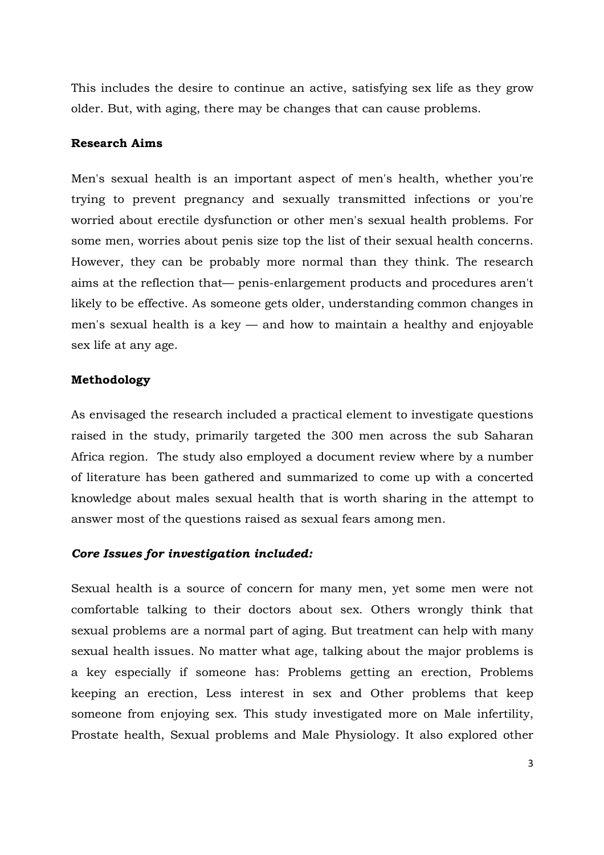This includes the desire to continue an active, satisfying sex life as they grow older. But, with aging, there may be changes that can cause problems.

### **Research Aims**

Men's sexual health is an important aspect of men's health, whether you're trying to prevent pregnancy and sexually transmitted infections or you're worried about erectile dysfunction or other men's sexual health problems. For some men, worries about penis size top the list of their sexual health concerns. However, they can be probably more normal than they think. The research aims at the reflection that— penis-enlargement products and procedures aren't likely to be effective. As someone gets older, understanding common changes in men's sexual health is a key — and how to maintain a healthy and enjoyable sex life at any age.

#### **Methodology**

As envisaged the research included a practical element to investigate questions raised in the study, primarily targeted the 300 men across the sub Saharan Africa region. The study also employed a document review where by a number of literature has been gathered and summarized to come up with a concerted knowledge about males sexual health that is worth sharing in the attempt to answer most of the questions raised as sexual fears among men.

#### *Core Issues for investigation included:*

Sexual health is a source of concern for many men, yet some men were not comfortable talking to their doctors about sex. Others wrongly think that sexual problems are a normal part of aging. But treatment can help with many sexual health issues. No matter what age, talking about the major problems is a key especially if someone has: Problems getting an erection, Problems keeping an erection, Less interest in sex and Other problems that keep someone from enjoying sex. This study investigated more on Male infertility, Prostate health, Sexual problems and Male Physiology. It also explored other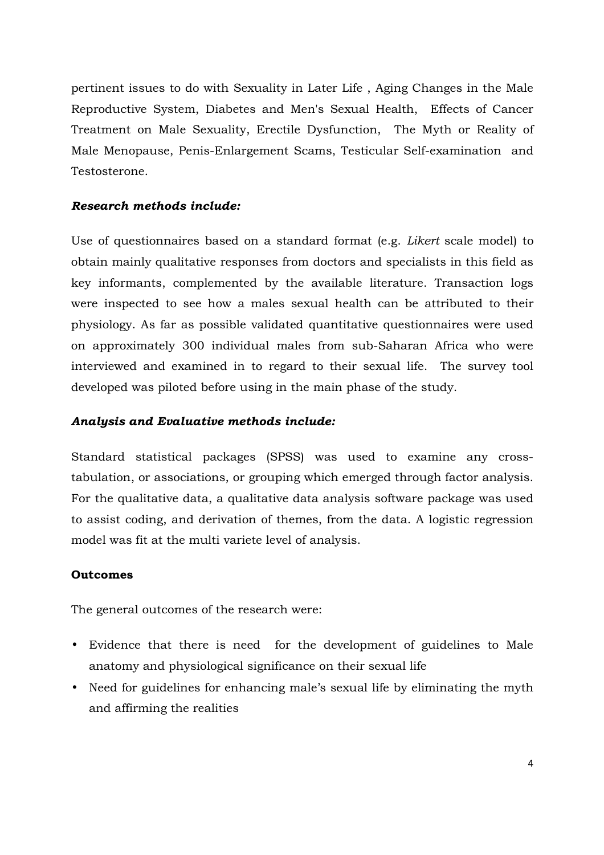pertinent issues to do with Sexuality in Later Life , Aging Changes in the Male Reproductive System, Diabetes and Men's Sexual Health, Effects of Cancer Treatment on Male Sexuality, Erectile Dysfunction, The Myth or Reality of Male Menopause, Penis-Enlargement Scams, Testicular Self-examination and Testosterone.

# *Research methods include:*

Use of questionnaires based on a standard format (e.g. *Likert* scale model) to obtain mainly qualitative responses from doctors and specialists in this field as key informants, complemented by the available literature. Transaction logs were inspected to see how a males sexual health can be attributed to their physiology. As far as possible validated quantitative questionnaires were used on approximately 300 individual males from sub-Saharan Africa who were interviewed and examined in to regard to their sexual life. The survey tool developed was piloted before using in the main phase of the study.

# *Analysis and Evaluative methods include:*

Standard statistical packages (SPSS) was used to examine any crosstabulation, or associations, or grouping which emerged through factor analysis. For the qualitative data, a qualitative data analysis software package was used to assist coding, and derivation of themes, from the data. A logistic regression model was fit at the multi variete level of analysis.

#### **Outcomes**

The general outcomes of the research were:

- Evidence that there is need for the development of guidelines to Male anatomy and physiological significance on their sexual life
- Need for guidelines for enhancing male's sexual life by eliminating the myth and affirming the realities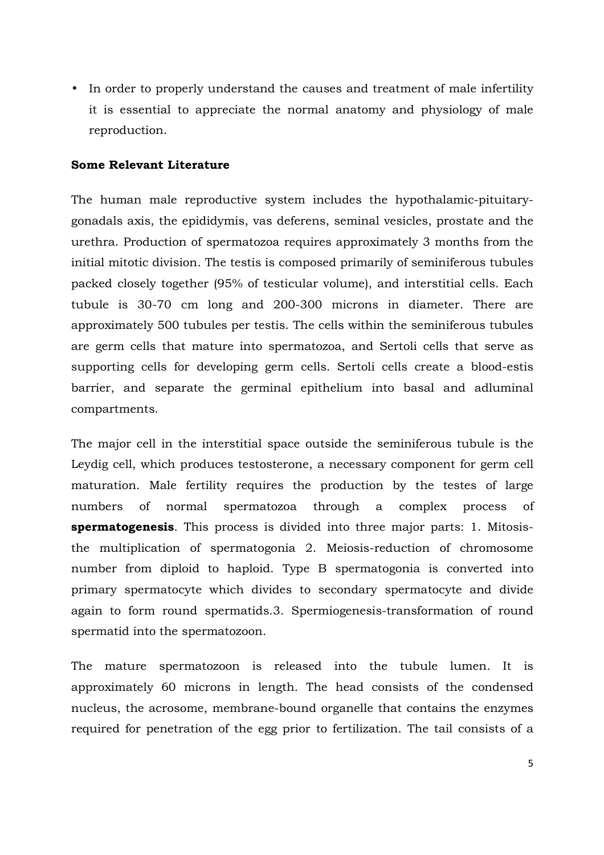• In order to properly understand the causes and treatment of male infertility it is essential to appreciate the normal anatomy and physiology of male reproduction.

#### **Some Relevant Literature**

The human male reproductive system includes the hypothalamic-pituitarygonadals axis, the epididymis, vas deferens, seminal vesicles, prostate and the urethra. Production of spermatozoa requires approximately 3 months from the initial mitotic division. The testis is composed primarily of seminiferous tubules packed closely together (95% of testicular volume), and interstitial cells. Each tubule is 30-70 cm long and 200-300 microns in diameter. There are approximately 500 tubules per testis. The cells within the seminiferous tubules are germ cells that mature into spermatozoa, and Sertoli cells that serve as supporting cells for developing germ cells. Sertoli cells create a blood-estis barrier, and separate the germinal epithelium into basal and adluminal compartments.

The major cell in the interstitial space outside the seminiferous tubule is the Leydig cell, which produces testosterone, a necessary component for germ cell maturation. Male fertility requires the production by the testes of large numbers of normal spermatozoa through a complex process of **spermatogenesis**. This process is divided into three major parts: 1. Mitosisthe multiplication of spermatogonia 2. Meiosis-reduction of chromosome number from diploid to haploid. Type B spermatogonia is converted into primary spermatocyte which divides to secondary spermatocyte and divide again to form round spermatids.3. Spermiogenesis-transformation of round spermatid into the spermatozoon.

The mature spermatozoon is released into the tubule lumen. It is approximately 60 microns in length. The head consists of the condensed nucleus, the acrosome, membrane-bound organelle that contains the enzymes required for penetration of the egg prior to fertilization. The tail consists of a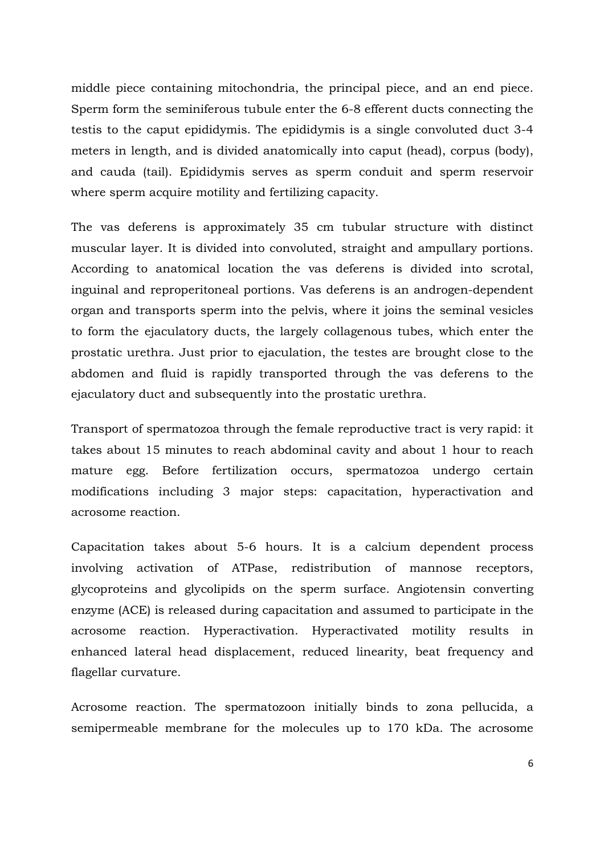middle piece containing mitochondria, the principal piece, and an end piece. Sperm form the seminiferous tubule enter the 6-8 efferent ducts connecting the testis to the caput epididymis. The epididymis is a single convoluted duct 3-4 meters in length, and is divided anatomically into caput (head), corpus (body), and cauda (tail). Epididymis serves as sperm conduit and sperm reservoir where sperm acquire motility and fertilizing capacity.

The vas deferens is approximately 35 cm tubular structure with distinct muscular layer. It is divided into convoluted, straight and ampullary portions. According to anatomical location the vas deferens is divided into scrotal, inguinal and reproperitoneal portions. Vas deferens is an androgen-dependent organ and transports sperm into the pelvis, where it joins the seminal vesicles to form the ejaculatory ducts, the largely collagenous tubes, which enter the prostatic urethra. Just prior to ejaculation, the testes are brought close to the abdomen and fluid is rapidly transported through the vas deferens to the ejaculatory duct and subsequently into the prostatic urethra.

Transport of spermatozoa through the female reproductive tract is very rapid: it takes about 15 minutes to reach abdominal cavity and about 1 hour to reach mature egg. Before fertilization occurs, spermatozoa undergo certain modifications including 3 major steps: capacitation, hyperactivation and acrosome reaction.

Capacitation takes about 5-6 hours. It is a calcium dependent process involving activation of ATPase, redistribution of mannose receptors, glycoproteins and glycolipids on the sperm surface. Angiotensin converting enzyme (ACE) is released during capacitation and assumed to participate in the acrosome reaction. Hyperactivation. Hyperactivated motility results in enhanced lateral head displacement, reduced linearity, beat frequency and flagellar curvature.

Acrosome reaction. The spermatozoon initially binds to zona pellucida, a semipermeable membrane for the molecules up to 170 kDa. The acrosome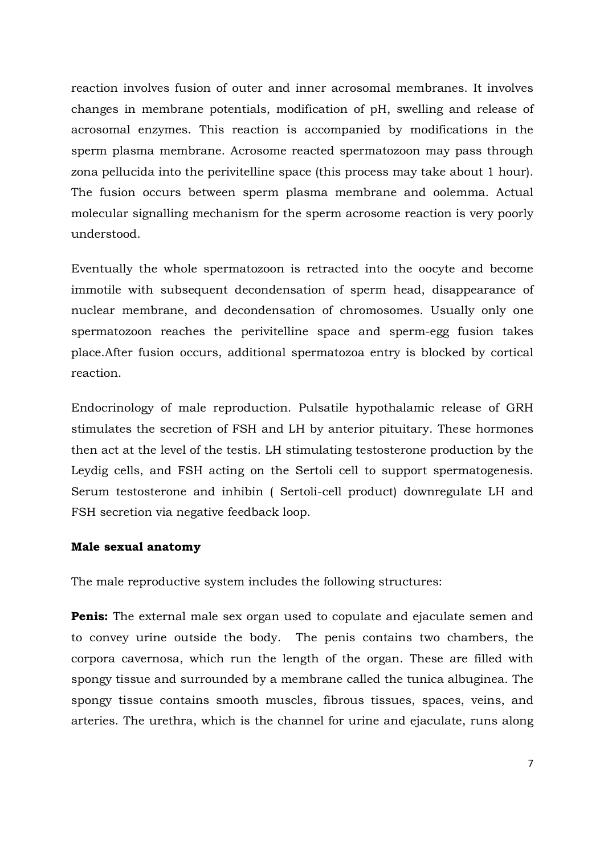reaction involves fusion of outer and inner acrosomal membranes. It involves changes in membrane potentials, modification of pH, swelling and release of acrosomal enzymes. This reaction is accompanied by modifications in the sperm plasma membrane. Acrosome reacted spermatozoon may pass through zona pellucida into the perivitelline space (this process may take about 1 hour). The fusion occurs between sperm plasma membrane and oolemma. Actual molecular signalling mechanism for the sperm acrosome reaction is very poorly understood.

Eventually the whole spermatozoon is retracted into the oocyte and become immotile with subsequent decondensation of sperm head, disappearance of nuclear membrane, and decondensation of chromosomes. Usually only one spermatozoon reaches the perivitelline space and sperm-egg fusion takes place.After fusion occurs, additional spermatozoa entry is blocked by cortical reaction.

Endocrinology of male reproduction. Pulsatile hypothalamic release of GRH stimulates the secretion of FSH and LH by anterior pituitary. These hormones then act at the level of the testis. LH stimulating testosterone production by the Leydig cells, and FSH acting on the Sertoli cell to support spermatogenesis. Serum testosterone and inhibin ( Sertoli-cell product) downregulate LH and FSH secretion via negative feedback loop.

#### **Male sexual anatomy**

The male reproductive system includes the following structures:

**Penis:** The external male sex organ used to copulate and ejaculate semen and to convey urine outside the body. The penis contains two chambers, the corpora cavernosa, which run the length of the organ. These are filled with spongy tissue and surrounded by a membrane called the tunica albuginea. The spongy tissue contains smooth muscles, fibrous tissues, spaces, veins, and arteries. The urethra, which is the channel for urine and ejaculate, runs along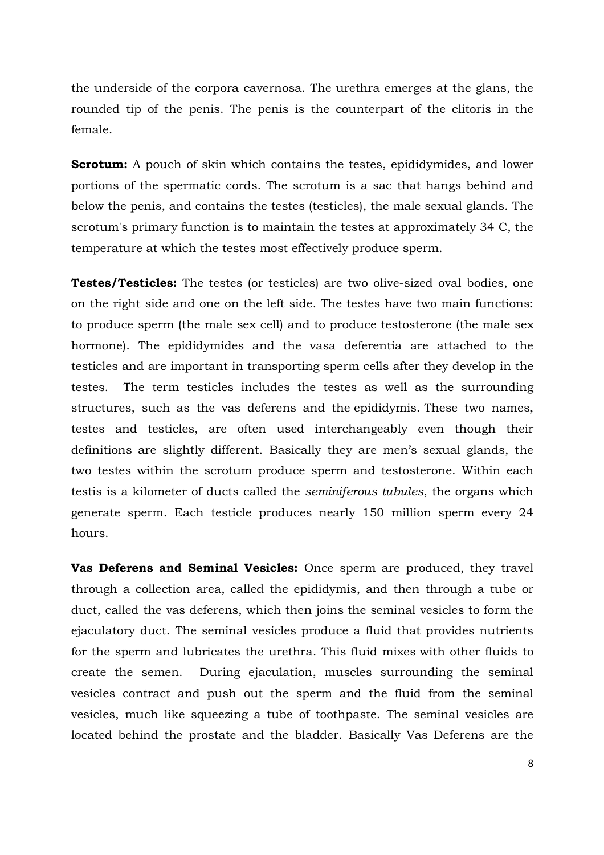the underside of the corpora cavernosa. The urethra emerges at the glans, the rounded tip of the penis. The penis is the counterpart of the clitoris in the female.

**Scrotum:** A pouch of skin which contains the testes, epididymides, and lower portions of the spermatic cords. The scrotum is a sac that hangs behind and below the penis, and contains the testes (testicles), the male sexual glands. The scrotum's primary function is to maintain the testes at approximately 34 C, the temperature at which the testes most effectively produce sperm.

**Testes/Testicles:** The testes (or testicles) are two olive-sized oval bodies, one on the right side and one on the left side. The testes have two main functions: to produce sperm (the male sex cell) and to produce testosterone (the male sex hormone). The epididymides and the vasa deferentia are attached to the testicles and are important in transporting sperm cells after they develop in the testes. The term testicles includes the testes as well as the surrounding structures, such as the vas deferens and the epididymis. These two names, testes and testicles, are often used interchangeably even though their definitions are slightly different. Basically they are men's sexual glands, the two testes within the scrotum produce sperm and testosterone. Within each testis is a kilometer of ducts called the *seminiferous tubules*, the organs which generate sperm. Each testicle produces nearly 150 million sperm every 24 hours.

**Vas Deferens and Seminal Vesicles:** Once sperm are produced, they travel through a collection area, called the epididymis, and then through a tube or duct, called the vas deferens, which then joins the seminal vesicles to form the ejaculatory duct. The seminal vesicles produce a fluid that provides nutrients for the sperm and lubricates the urethra. This fluid mixes with other fluids to create the semen. During ejaculation, muscles surrounding the seminal vesicles contract and push out the sperm and the fluid from the seminal vesicles, much like squeezing a tube of toothpaste. The seminal vesicles are located behind the prostate and the bladder. Basically Vas Deferens are the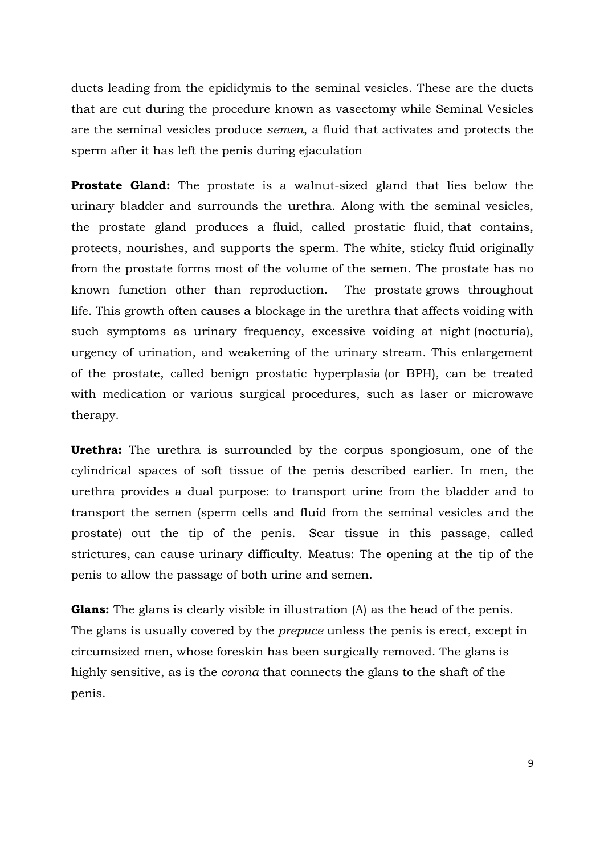ducts leading from the epididymis to the seminal vesicles. These are the ducts that are cut during the procedure known as vasectomy while Seminal Vesicles are the seminal vesicles produce *semen*, a fluid that activates and protects the sperm after it has left the penis during ejaculation

**Prostate Gland:** The prostate is a walnut-sized gland that lies below the urinary bladder and surrounds the urethra. Along with the seminal vesicles, the prostate gland produces a fluid, called prostatic fluid, that contains, protects, nourishes, and supports the sperm. The white, sticky fluid originally from the prostate forms most of the volume of the semen. The prostate has no known function other than reproduction. The prostate grows throughout life. This growth often causes a blockage in the urethra that affects voiding with such symptoms as urinary frequency, excessive voiding at night (nocturia), urgency of urination, and weakening of the urinary stream. This enlargement of the prostate, called benign prostatic hyperplasia (or BPH), can be treated with medication or various surgical procedures, such as laser or microwave therapy.

**Urethra:** The urethra is surrounded by the corpus spongiosum, one of the cylindrical spaces of soft tissue of the penis described earlier. In men, the urethra provides a dual purpose: to transport urine from the bladder and to transport the semen (sperm cells and fluid from the seminal vesicles and the prostate) out the tip of the penis. Scar tissue in this passage, called strictures, can cause urinary difficulty. Meatus: The opening at the tip of the penis to allow the passage of both urine and semen.

**Glans:** The glans is clearly visible in illustration (A) as the head of the penis. The glans is usually covered by the *prepuce* unless the penis is erect, except in circumsized men, whose foreskin has been surgically removed. The glans is highly sensitive, as is the *corona* that connects the glans to the shaft of the penis.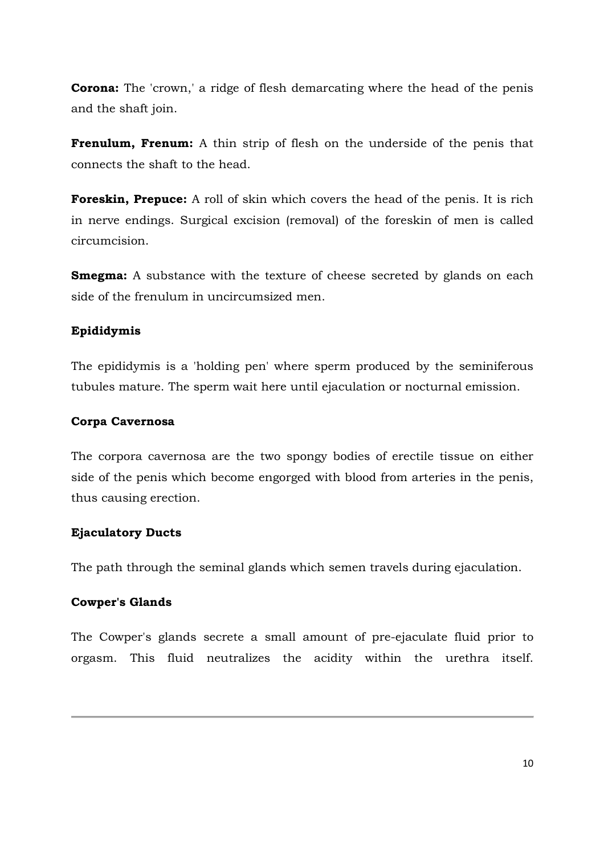**Corona:** The 'crown,' a ridge of flesh demarcating where the head of the penis and the shaft join.

**Frenulum, Frenum:** A thin strip of flesh on the underside of the penis that connects the shaft to the head.

**Foreskin, Prepuce:** A roll of skin which covers the head of the penis. It is rich in nerve endings. Surgical excision (removal) of the foreskin of men is called circumcision.

**Smegma:** A substance with the texture of cheese secreted by glands on each side of the frenulum in uncircumsized men.

# **Epididymis**

The epididymis is a 'holding pen' where sperm produced by the seminiferous tubules mature. The sperm wait here until ejaculation or nocturnal emission.

#### **Corpa Cavernosa**

The corpora cavernosa are the two spongy bodies of erectile tissue on either side of the penis which become engorged with blood from arteries in the penis, thus causing erection.

#### **Ejaculatory Ducts**

The path through the seminal glands which semen travels during ejaculation.

#### **Cowper's Glands**

The Cowper's glands secrete a small amount of pre-ejaculate fluid prior to orgasm. This fluid neutralizes the acidity within the urethra itself.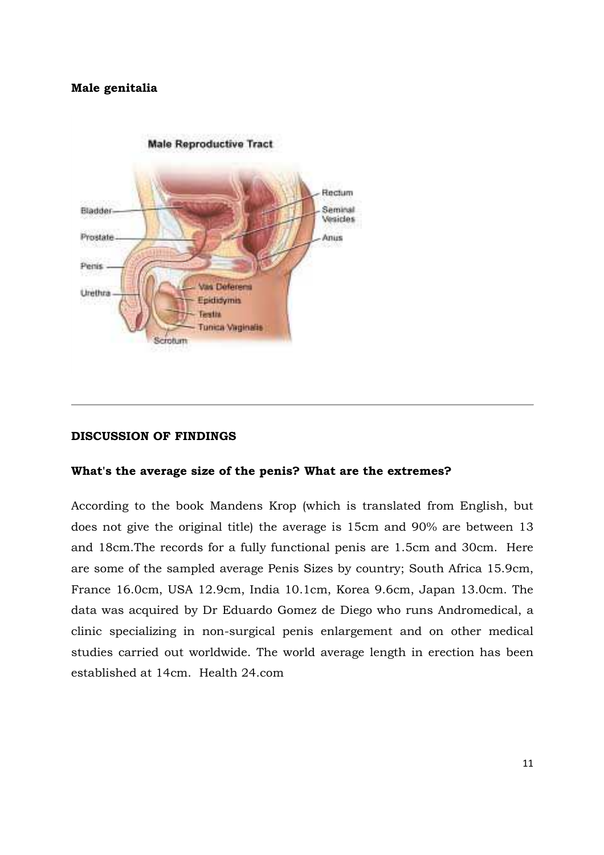# **Male genitalia**



#### **DISCUSSION OF FINDINGS**

# **What's the average size of the penis? What are the extremes?**

According to the book Mandens Krop (which is translated from English, but does not give the original title) the average is 15cm and 90% are between 13 and 18cm.The records for a fully functional penis are 1.5cm and 30cm. Here are some of the sampled average Penis Sizes by country; South Africa 15.9cm, France 16.0cm, USA 12.9cm, India 10.1cm, Korea 9.6cm, Japan 13.0cm. The data was acquired by Dr Eduardo Gomez de Diego who runs Andromedical, a clinic specializing in non-surgical penis enlargement and on other medical studies carried out worldwide. The world average length in erection has been established at 14cm. Health 24.com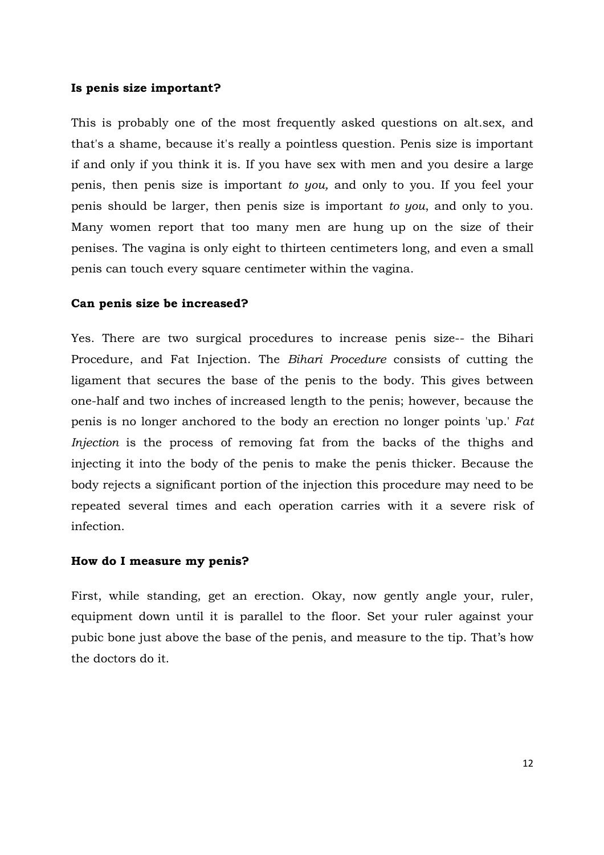#### **Is penis size important?**

This is probably one of the most frequently asked questions on alt.sex, and that's a shame, because it's really a pointless question. Penis size is important if and only if you think it is. If you have sex with men and you desire a large penis, then penis size is important *to you,* and only to you. If you feel your penis should be larger, then penis size is important *to you*, and only to you. Many women report that too many men are hung up on the size of their penises. The vagina is only eight to thirteen centimeters long, and even a small penis can touch every square centimeter within the vagina.

# **Can penis size be increased?**

Yes. There are two surgical procedures to increase penis size-- the Bihari Procedure, and Fat Injection. The *Bihari Procedure* consists of cutting the ligament that secures the base of the penis to the body. This gives between one-half and two inches of increased length to the penis; however, because the penis is no longer anchored to the body an erection no longer points 'up.' *Fat Injection* is the process of removing fat from the backs of the thighs and injecting it into the body of the penis to make the penis thicker. Because the body rejects a significant portion of the injection this procedure may need to be repeated several times and each operation carries with it a severe risk of infection.

#### **How do I measure my penis?**

First, while standing, get an erection. Okay, now gently angle your, ruler, equipment down until it is parallel to the floor. Set your ruler against your pubic bone just above the base of the penis, and measure to the tip. That's how the doctors do it.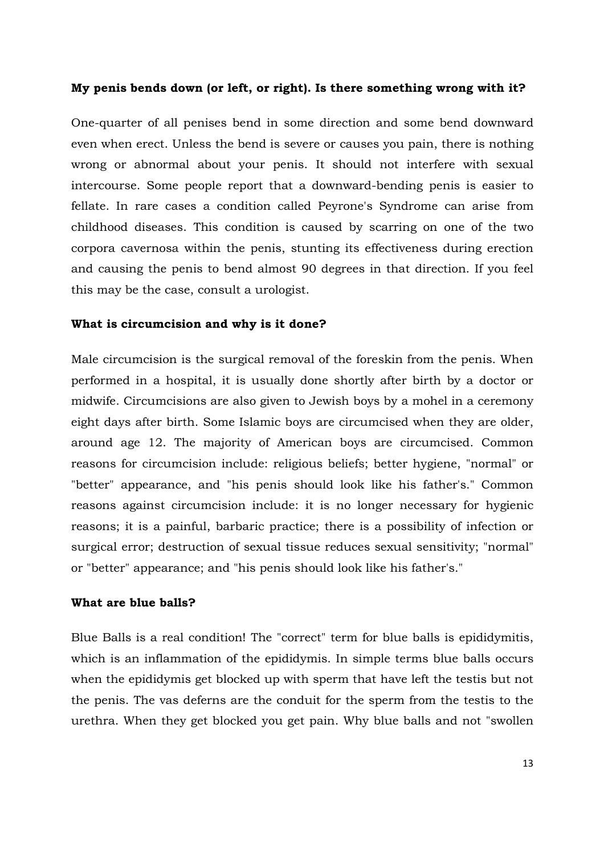#### **My penis bends down (or left, or right). Is there something wrong with it?**

One-quarter of all penises bend in some direction and some bend downward even when erect. Unless the bend is severe or causes you pain, there is nothing wrong or abnormal about your penis. It should not interfere with sexual intercourse. Some people report that a downward-bending penis is easier to fellate. In rare cases a condition called Peyrone's Syndrome can arise from childhood diseases. This condition is caused by scarring on one of the two corpora cavernosa within the penis, stunting its effectiveness during erection and causing the penis to bend almost 90 degrees in that direction. If you feel this may be the case, consult a urologist.

#### **What is circumcision and why is it done?**

Male circumcision is the surgical removal of the foreskin from the penis. When performed in a hospital, it is usually done shortly after birth by a doctor or midwife. Circumcisions are also given to Jewish boys by a mohel in a ceremony eight days after birth. Some Islamic boys are circumcised when they are older, around age 12. The majority of American boys are circumcised. Common reasons for circumcision include: religious beliefs; better hygiene, "normal" or "better" appearance, and "his penis should look like his father's." Common reasons against circumcision include: it is no longer necessary for hygienic reasons; it is a painful, barbaric practice; there is a possibility of infection or surgical error; destruction of sexual tissue reduces sexual sensitivity; "normal" or "better" appearance; and "his penis should look like his father's."

#### **What are blue balls?**

Blue Balls is a real condition! The "correct" term for blue balls is epididymitis, which is an inflammation of the epididymis. In simple terms blue balls occurs when the epididymis get blocked up with sperm that have left the testis but not the penis. The vas deferns are the conduit for the sperm from the testis to the urethra. When they get blocked you get pain. Why blue balls and not "swollen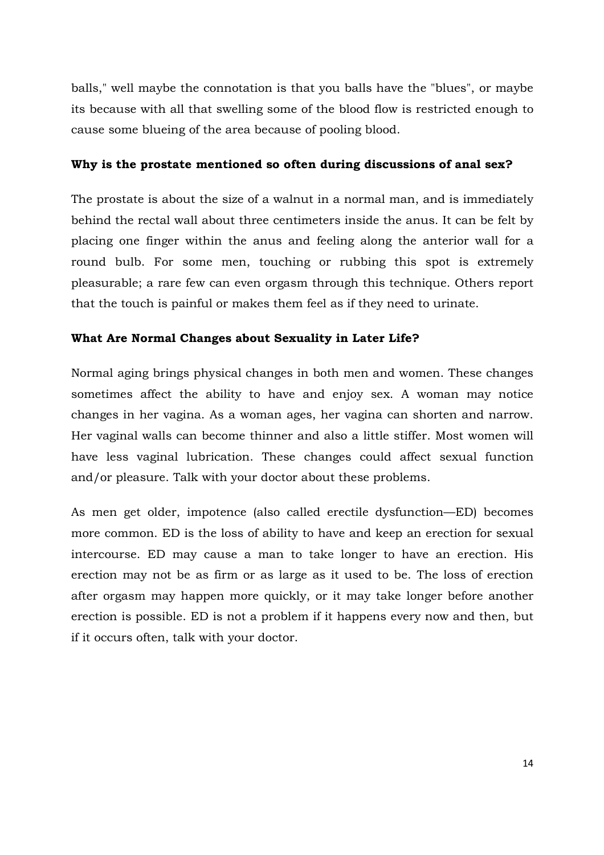balls," well maybe the connotation is that you balls have the "blues", or maybe its because with all that swelling some of the blood flow is restricted enough to cause some blueing of the area because of pooling blood.

#### **Why is the prostate mentioned so often during discussions of anal sex?**

The prostate is about the size of a walnut in a normal man, and is immediately behind the rectal wall about three centimeters inside the anus. It can be felt by placing one finger within the anus and feeling along the anterior wall for a round bulb. For some men, touching or rubbing this spot is extremely pleasurable; a rare few can even orgasm through this technique. Others report that the touch is painful or makes them feel as if they need to urinate.

# **What Are Normal Changes about Sexuality in Later Life?**

Normal aging brings physical changes in both men and women. These changes sometimes affect the ability to have and enjoy sex. A woman may notice changes in her vagina. As a woman ages, her vagina can shorten and narrow. Her vaginal walls can become thinner and also a little stiffer. Most women will have less vaginal lubrication. These changes could affect sexual function and/or pleasure. Talk with your doctor about these problems.

As men get older, impotence (also called erectile dysfunction—ED) becomes more common. ED is the loss of ability to have and keep an erection for sexual intercourse. ED may cause a man to take longer to have an erection. His erection may not be as firm or as large as it used to be. The loss of erection after orgasm may happen more quickly, or it may take longer before another erection is possible. ED is not a problem if it happens every now and then, but if it occurs often, talk with your doctor.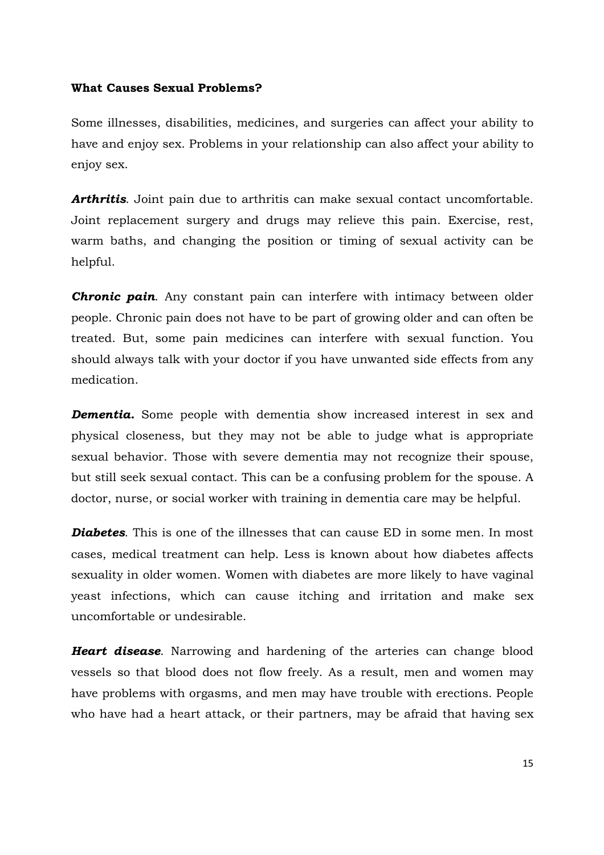#### **What Causes Sexual Problems?**

Some illnesses, disabilities, medicines, and surgeries can affect your ability to have and enjoy sex. Problems in your relationship can also affect your ability to enjoy sex.

*Arthritis*. Joint pain due to arthritis can make sexual contact uncomfortable. Joint replacement surgery and drugs may relieve this pain. Exercise, rest, warm baths, and changing the position or timing of sexual activity can be helpful.

*Chronic pain*. Any constant pain can interfere with intimacy between older people. Chronic pain does not have to be part of growing older and can often be treated. But, some pain medicines can interfere with sexual function. You should always talk with your doctor if you have unwanted side effects from any medication.

*Dementia.* Some people with dementia show increased interest in sex and physical closeness, but they may not be able to judge what is appropriate sexual behavior. Those with severe dementia may not recognize their spouse, but still seek sexual contact. This can be a confusing problem for the spouse. A doctor, nurse, or social worker with training in dementia care may be helpful.

*Diabetes*. This is one of the illnesses that can cause ED in some men. In most cases, medical treatment can help. Less is known about how diabetes affects sexuality in older women. Women with diabetes are more likely to have vaginal yeast infections, which can cause itching and irritation and make sex uncomfortable or undesirable.

*Heart disease*. Narrowing and hardening of the arteries can change blood vessels so that blood does not flow freely. As a result, men and women may have problems with orgasms, and men may have trouble with erections. People who have had a heart attack, or their partners, may be afraid that having sex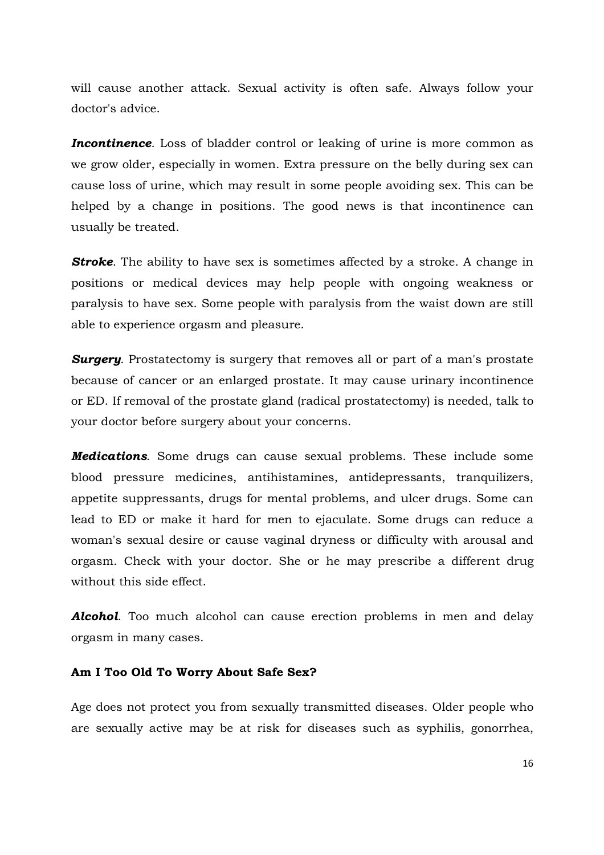will cause another attack. Sexual activity is often safe. Always follow your doctor's advice.

**Incontinence**. Loss of bladder control or leaking of urine is more common as we grow older, especially in women. Extra pressure on the belly during sex can cause loss of urine, which may result in some people avoiding sex. This can be helped by a change in positions. The good news is that incontinence can usually be treated.

**Stroke**. The ability to have sex is sometimes affected by a stroke. A change in positions or medical devices may help people with ongoing weakness or paralysis to have sex. Some people with paralysis from the waist down are still able to experience orgasm and pleasure.

**Surgery**. Prostatectomy is surgery that removes all or part of a man's prostate because of cancer or an enlarged prostate. It may cause urinary incontinence or ED. If removal of the prostate gland (radical prostatectomy) is needed, talk to your doctor before surgery about your concerns.

*Medications*. Some drugs can cause sexual problems. These include some blood pressure medicines, antihistamines, antidepressants, tranquilizers, appetite suppressants, drugs for mental problems, and ulcer drugs. Some can lead to ED or make it hard for men to ejaculate. Some drugs can reduce a woman's sexual desire or cause vaginal dryness or difficulty with arousal and orgasm. Check with your doctor. She or he may prescribe a different drug without this side effect.

*Alcohol*. Too much alcohol can cause erection problems in men and delay orgasm in many cases.

#### **Am I Too Old To Worry About Safe Sex?**

Age does not protect you from sexually transmitted diseases. Older people who are sexually active may be at risk for diseases such as syphilis, gonorrhea,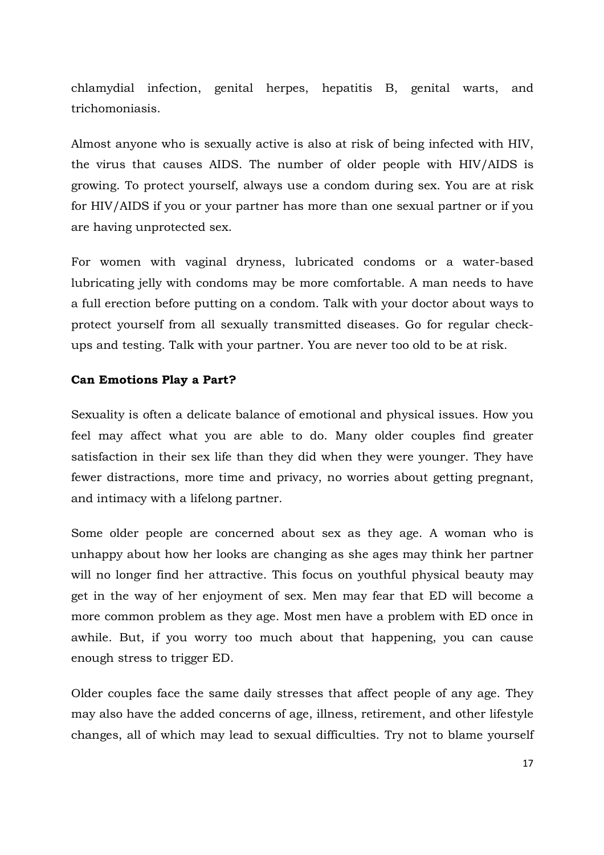chlamydial infection, genital herpes, hepatitis B, genital warts, and trichomoniasis.

Almost anyone who is sexually active is also at risk of being infected with HIV, the virus that causes AIDS. The number of older people with HIV/AIDS is growing. To protect yourself, always use a condom during sex. You are at risk for HIV/AIDS if you or your partner has more than one sexual partner or if you are having unprotected sex.

For women with vaginal dryness, lubricated condoms or a water-based lubricating jelly with condoms may be more comfortable. A man needs to have a full erection before putting on a condom. Talk with your doctor about ways to protect yourself from all sexually transmitted diseases. Go for regular checkups and testing. Talk with your partner. You are never too old to be at risk.

#### **Can Emotions Play a Part?**

Sexuality is often a delicate balance of emotional and physical issues. How you feel may affect what you are able to do. Many older couples find greater satisfaction in their sex life than they did when they were younger. They have fewer distractions, more time and privacy, no worries about getting pregnant, and intimacy with a lifelong partner.

Some older people are concerned about sex as they age. A woman who is unhappy about how her looks are changing as she ages may think her partner will no longer find her attractive. This focus on youthful physical beauty may get in the way of her enjoyment of sex. Men may fear that ED will become a more common problem as they age. Most men have a problem with ED once in awhile. But, if you worry too much about that happening, you can cause enough stress to trigger ED.

Older couples face the same daily stresses that affect people of any age. They may also have the added concerns of age, illness, retirement, and other lifestyle changes, all of which may lead to sexual difficulties. Try not to blame yourself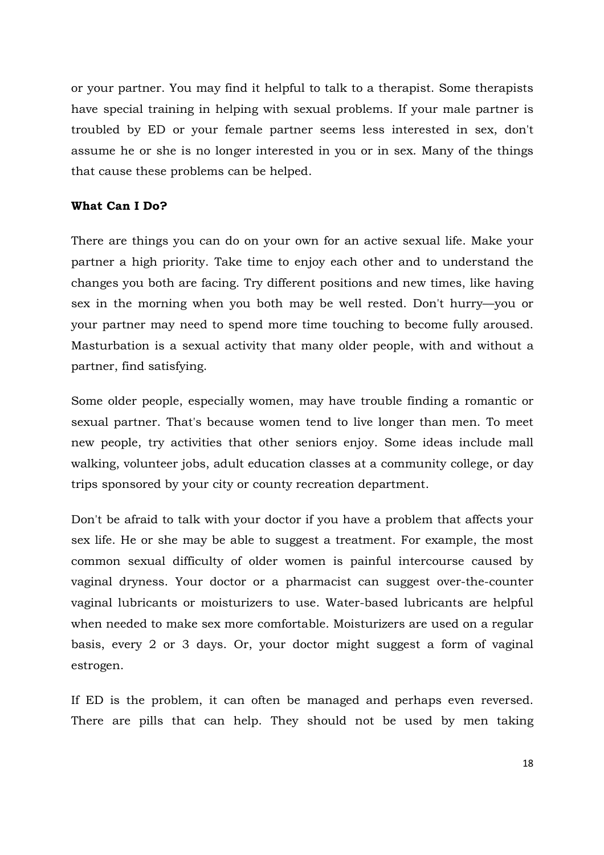or your partner. You may find it helpful to talk to a therapist. Some therapists have special training in helping with sexual problems. If your male partner is troubled by ED or your female partner seems less interested in sex, don't assume he or she is no longer interested in you or in sex. Many of the things that cause these problems can be helped.

# **What Can I Do?**

There are things you can do on your own for an active sexual life. Make your partner a high priority. Take time to enjoy each other and to understand the changes you both are facing. Try different positions and new times, like having sex in the morning when you both may be well rested. Don't hurry—you or your partner may need to spend more time touching to become fully aroused. Masturbation is a sexual activity that many older people, with and without a partner, find satisfying.

Some older people, especially women, may have trouble finding a romantic or sexual partner. That's because women tend to live longer than men. To meet new people, try activities that other seniors enjoy. Some ideas include mall walking, volunteer jobs, adult education classes at a community college, or day trips sponsored by your city or county recreation department.

Don't be afraid to talk with your doctor if you have a problem that affects your sex life. He or she may be able to suggest a treatment. For example, the most common sexual difficulty of older women is painful intercourse caused by vaginal dryness. Your doctor or a pharmacist can suggest over-the-counter vaginal lubricants or moisturizers to use. Water-based lubricants are helpful when needed to make sex more comfortable. Moisturizers are used on a regular basis, every 2 or 3 days. Or, your doctor might suggest a form of vaginal estrogen.

If ED is the problem, it can often be managed and perhaps even reversed. There are pills that can help. They should not be used by men taking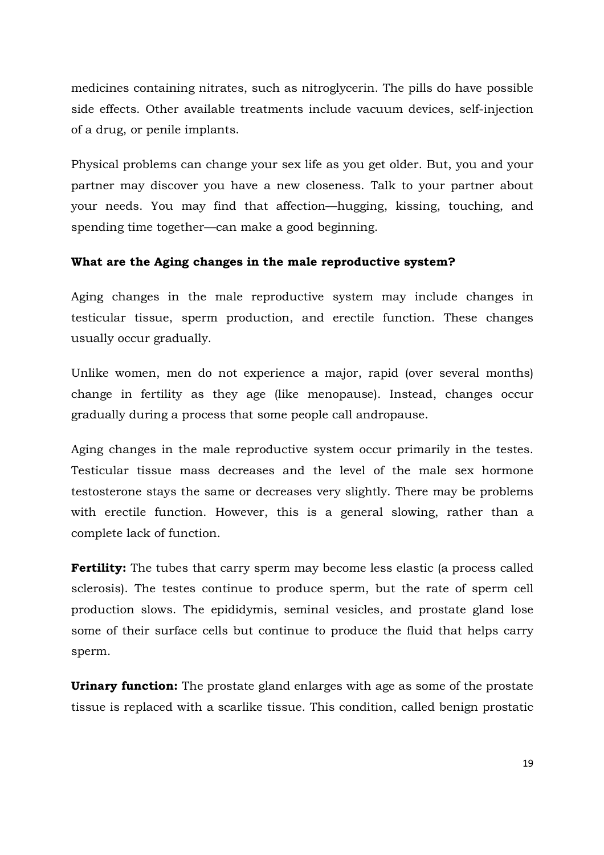medicines containing nitrates, such as nitroglycerin. The pills do have possible side effects. Other available treatments include vacuum devices, self-injection of a drug, or penile implants.

Physical problems can change your sex life as you get older. But, you and your partner may discover you have a new closeness. Talk to your partner about your needs. You may find that affection—hugging, kissing, touching, and spending time together—can make a good beginning.

#### **What are the Aging changes in the male reproductive system?**

Aging changes in the male reproductive system may include changes in testicular tissue, sperm production, and erectile function. These changes usually occur gradually.

Unlike women, men do not experience a major, rapid (over several months) change in fertility as they age (like menopause). Instead, changes occur gradually during a process that some people call andropause.

Aging changes in the male reproductive system occur primarily in the testes. Testicular tissue mass decreases and the level of the male sex hormone testosterone stays the same or decreases very slightly. There may be problems with erectile function. However, this is a general slowing, rather than a complete lack of function.

**Fertility:** The tubes that carry sperm may become less elastic (a process called sclerosis). The testes continue to produce sperm, but the rate of sperm cell production slows. The epididymis, seminal vesicles, and prostate gland lose some of their surface cells but continue to produce the fluid that helps carry sperm.

**Urinary function:** The prostate gland enlarges with age as some of the prostate tissue is replaced with a scarlike tissue. This condition, called benign prostatic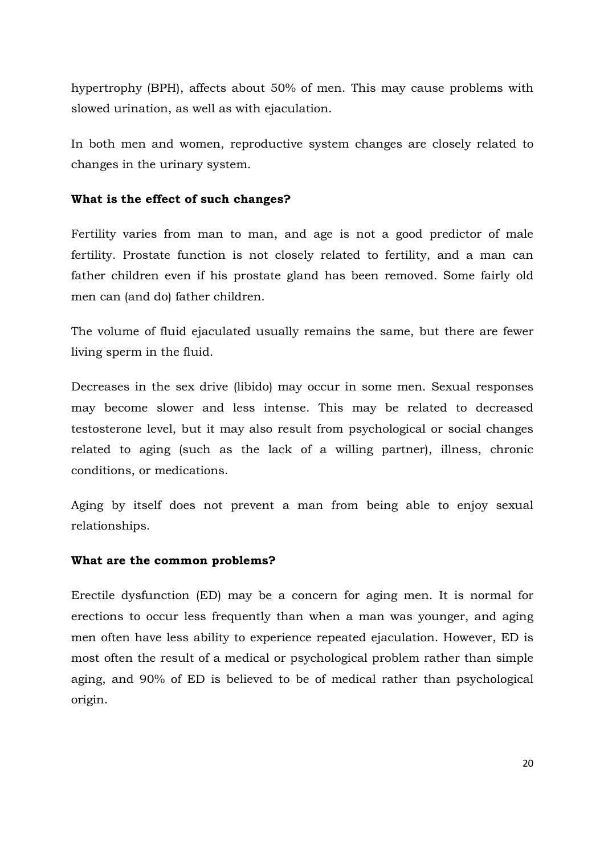hypertrophy (BPH), affects about 50% of men. This may cause problems with slowed urination, as well as with ejaculation.

In both men and women, reproductive system changes are closely related to changes in the urinary system.

#### **What is the effect of such changes?**

Fertility varies from man to man, and age is not a good predictor of male fertility. Prostate function is not closely related to fertility, and a man can father children even if his prostate gland has been removed. Some fairly old men can (and do) father children.

The volume of fluid ejaculated usually remains the same, but there are fewer living sperm in the fluid.

Decreases in the sex drive (libido) may occur in some men. Sexual responses may become slower and less intense. This may be related to decreased testosterone level, but it may also result from psychological or social changes related to aging (such as the lack of a willing partner), illness, chronic conditions, or medications.

Aging by itself does not prevent a man from being able to enjoy sexual relationships.

#### **What are the common problems?**

Erectile dysfunction (ED) may be a concern for aging men. It is normal for erections to occur less frequently than when a man was younger, and aging men often have less ability to experience repeated ejaculation. However, ED is most often the result of a medical or psychological problem rather than simple aging, and 90% of ED is believed to be of medical rather than psychological origin.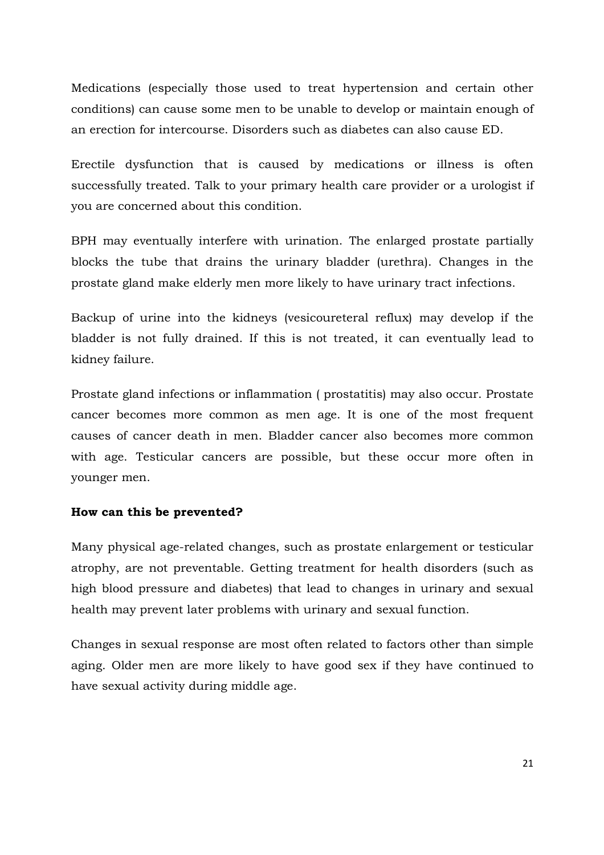Medications (especially those used to treat hypertension and certain other conditions) can cause some men to be unable to develop or maintain enough of an erection for intercourse. Disorders such as diabetes can also cause ED.

Erectile dysfunction that is caused by medications or illness is often successfully treated. Talk to your primary health care provider or a urologist if you are concerned about this condition.

BPH may eventually interfere with urination. The enlarged prostate partially blocks the tube that drains the urinary bladder (urethra). Changes in the prostate gland make elderly men more likely to have urinary tract infections.

Backup of urine into the kidneys (vesicoureteral reflux) may develop if the bladder is not fully drained. If this is not treated, it can eventually lead to kidney failure.

Prostate gland infections or inflammation ( prostatitis) may also occur. Prostate cancer becomes more common as men age. It is one of the most frequent causes of cancer death in men. Bladder cancer also becomes more common with age. Testicular cancers are possible, but these occur more often in younger men.

#### **How can this be prevented?**

Many physical age-related changes, such as prostate enlargement or testicular atrophy, are not preventable. Getting treatment for health disorders (such as high blood pressure and diabetes) that lead to changes in urinary and sexual health may prevent later problems with urinary and sexual function.

Changes in sexual response are most often related to factors other than simple aging. Older men are more likely to have good sex if they have continued to have sexual activity during middle age.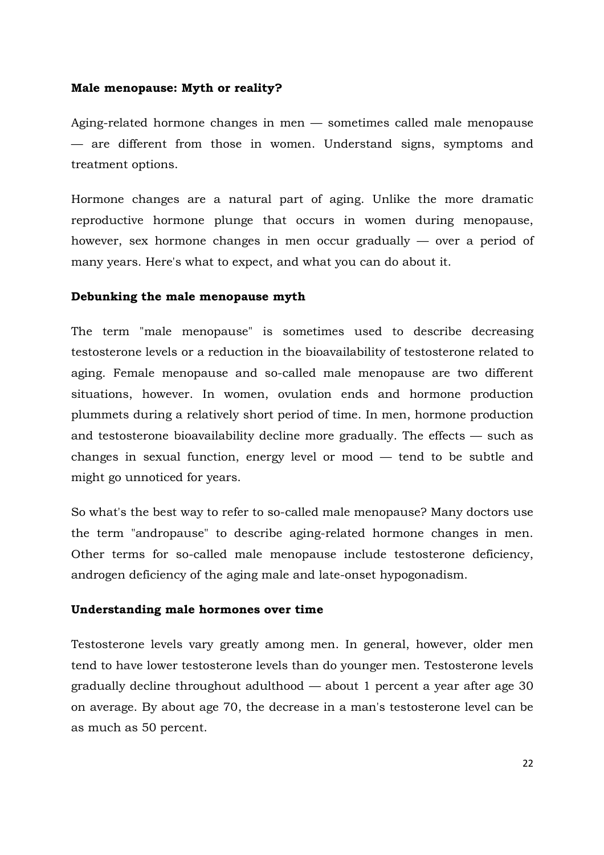#### **Male menopause: Myth or reality?**

Aging-related hormone changes in men — sometimes called male menopause — are different from those in women. Understand signs, symptoms and treatment options.

Hormone changes are a natural part of aging. Unlike the more dramatic reproductive hormone plunge that occurs in women during menopause, however, sex hormone changes in men occur gradually — over a period of many years. Here's what to expect, and what you can do about it.

#### **Debunking the male menopause myth**

The term "male menopause" is sometimes used to describe decreasing testosterone levels or a reduction in the bioavailability of testosterone related to aging. Female menopause and so-called male menopause are two different situations, however. In women, ovulation ends and hormone production plummets during a relatively short period of time. In men, hormone production and testosterone bioavailability decline more gradually. The effects — such as changes in sexual function, energy level or mood — tend to be subtle and might go unnoticed for years.

So what's the best way to refer to so-called male menopause? Many doctors use the term "andropause" to describe aging-related hormone changes in men. Other terms for so-called male menopause include testosterone deficiency, androgen deficiency of the aging male and late-onset hypogonadism.

#### **Understanding male hormones over time**

Testosterone levels vary greatly among men. In general, however, older men tend to have lower testosterone levels than do younger men. Testosterone levels gradually decline throughout adulthood — about 1 percent a year after age 30 on average. By about age 70, the decrease in a man's testosterone level can be as much as 50 percent.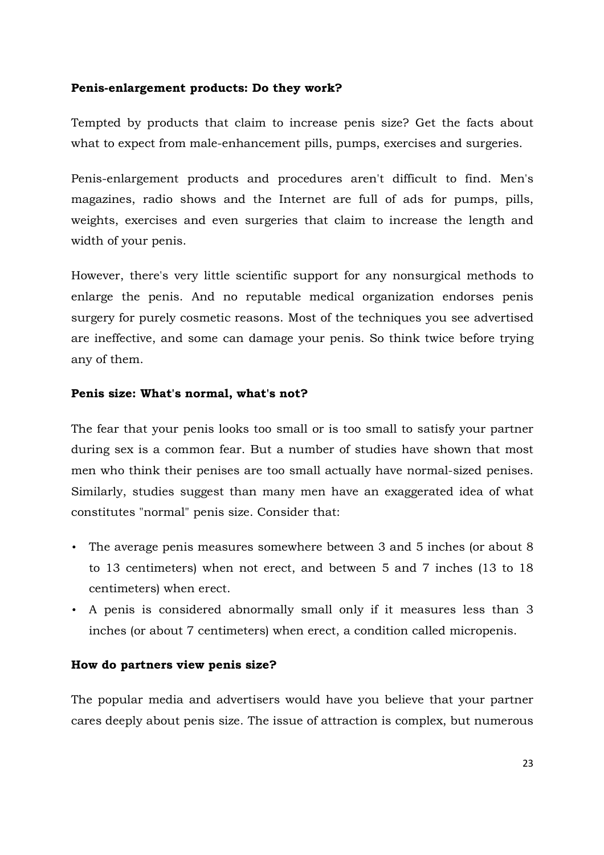# **Penis-enlargement products: Do they work?**

Tempted by products that claim to increase penis size? Get the facts about what to expect from male-enhancement pills, pumps, exercises and surgeries.

Penis-enlargement products and procedures aren't difficult to find. Men's magazines, radio shows and the Internet are full of ads for pumps, pills, weights, exercises and even surgeries that claim to increase the length and width of your penis.

However, there's very little scientific support for any nonsurgical methods to enlarge the penis. And no reputable medical organization endorses penis surgery for purely cosmetic reasons. Most of the techniques you see advertised are ineffective, and some can damage your penis. So think twice before trying any of them.

# **Penis size: What's normal, what's not?**

The fear that your penis looks too small or is too small to satisfy your partner during sex is a common fear. But a number of studies have shown that most men who think their penises are too small actually have normal-sized penises. Similarly, studies suggest than many men have an exaggerated idea of what constitutes "normal" penis size. Consider that:

- The average penis measures somewhere between 3 and 5 inches (or about 8 to 13 centimeters) when not erect, and between 5 and 7 inches (13 to 18 centimeters) when erect.
- A penis is considered abnormally small only if it measures less than 3 inches (or about 7 centimeters) when erect, a condition called micropenis.

#### **How do partners view penis size?**

The popular media and advertisers would have you believe that your partner cares deeply about penis size. The issue of attraction is complex, but numerous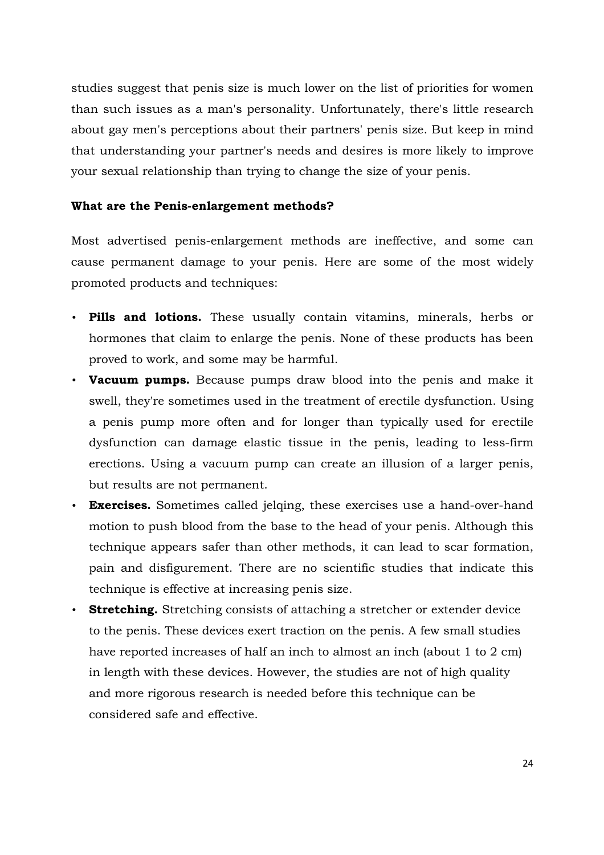studies suggest that penis size is much lower on the list of priorities for women than such issues as a man's personality. Unfortunately, there's little research about gay men's perceptions about their partners' penis size. But keep in mind that understanding your partner's needs and desires is more likely to improve your sexual relationship than trying to change the size of your penis.

#### **What are the Penis-enlargement methods?**

Most advertised penis-enlargement methods are ineffective, and some can cause permanent damage to your penis. Here are some of the most widely promoted products and techniques:

- **Pills and lotions.** These usually contain vitamins, minerals, herbs or hormones that claim to enlarge the penis. None of these products has been proved to work, and some may be harmful.
- **Vacuum pumps.** Because pumps draw blood into the penis and make it swell, they're sometimes used in the treatment of erectile dysfunction. Using a penis pump more often and for longer than typically used for erectile dysfunction can damage elastic tissue in the penis, leading to less-firm erections. Using a vacuum pump can create an illusion of a larger penis, but results are not permanent.
- **Exercises.** Sometimes called jelqing, these exercises use a hand-over-hand motion to push blood from the base to the head of your penis. Although this technique appears safer than other methods, it can lead to scar formation, pain and disfigurement. There are no scientific studies that indicate this technique is effective at increasing penis size.
- **Stretching.** Stretching consists of attaching a stretcher or extender device to the penis. These devices exert traction on the penis. A few small studies have reported increases of half an inch to almost an inch (about 1 to 2 cm) in length with these devices. However, the studies are not of high quality and more rigorous research is needed before this technique can be considered safe and effective.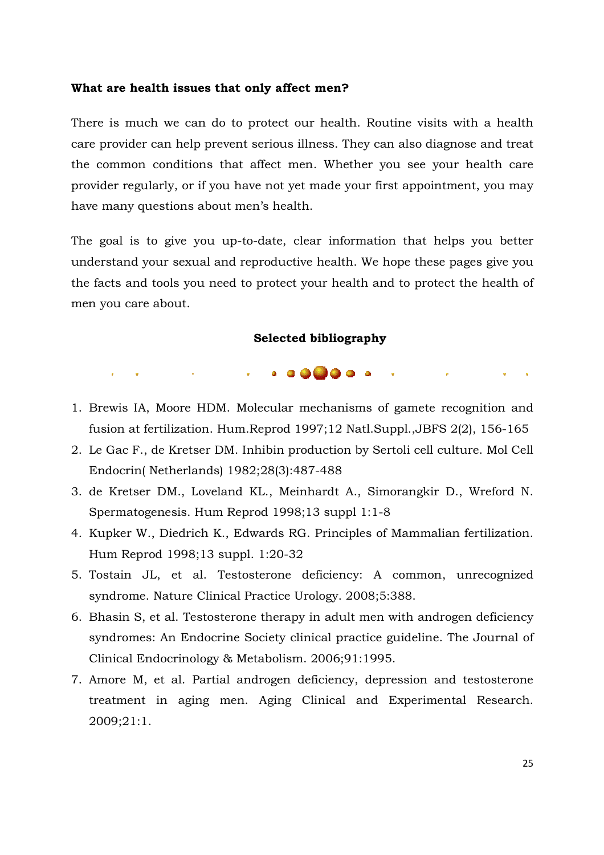#### **What are health issues that only affect men?**

There is much we can do to protect our health. Routine visits with a health care provider can help prevent serious illness. They can also diagnose and treat the common conditions that affect men. Whether you see your health care provider regularly, or if you have not yet made your first appointment, you may have many questions about men's health.

The goal is to give you up-to-date, clear information that helps you better understand your sexual and reproductive health. We hope these pages give you the facts and tools you need to protect your health and to protect the health of men you care about.

#### **Selected bibliography**

 $\sim 10$  $\tilde{\phi}$ 

- 1. Brewis IA, Moore HDM. Molecular mechanisms of gamete recognition and fusion at fertilization. Hum.Reprod 1997;12 Natl.Suppl.,JBFS 2(2), 156-165
- 2. Le Gac F., de Kretser DM. Inhibin production by Sertoli cell culture. Mol Cell Endocrin( Netherlands) 1982;28(3):487-488
- 3. de Kretser DM., Loveland KL., Meinhardt A., Simorangkir D., Wreford N. Spermatogenesis. Hum Reprod 1998;13 suppl 1:1-8
- 4. Kupker W., Diedrich K., Edwards RG. Principles of Mammalian fertilization. Hum Reprod 1998;13 suppl. 1:20-32
- 5. Tostain JL, et al. Testosterone deficiency: A common, unrecognized syndrome. Nature Clinical Practice Urology. 2008;5:388.
- 6. Bhasin S, et al. Testosterone therapy in adult men with androgen deficiency syndromes: An Endocrine Society clinical practice guideline. The Journal of Clinical Endocrinology & Metabolism. 2006;91:1995.
- 7. Amore M, et al. Partial androgen deficiency, depression and testosterone treatment in aging men. Aging Clinical and Experimental Research. 2009;21:1.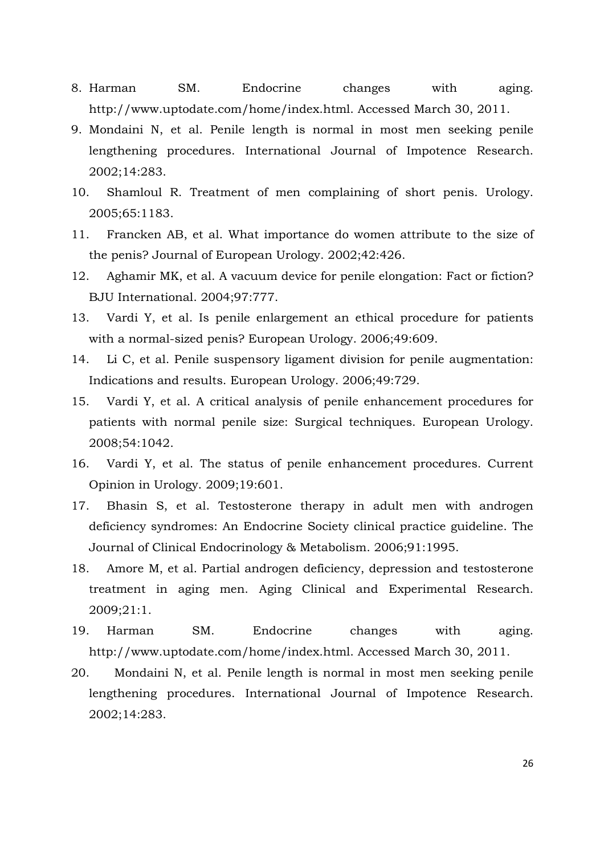- 8. Harman SM. Endocrine changes with aging. http://www.uptodate.com/home/index.html. Accessed March 30, 2011.
- 9. Mondaini N, et al. Penile length is normal in most men seeking penile lengthening procedures. International Journal of Impotence Research. 2002;14:283.
- 10. Shamloul R. Treatment of men complaining of short penis. Urology. 2005;65:1183.
- 11. Francken AB, et al. What importance do women attribute to the size of the penis? Journal of European Urology. 2002;42:426.
- 12. Aghamir MK, et al. A vacuum device for penile elongation: Fact or fiction? BJU International. 2004;97:777.
- 13. Vardi Y, et al. Is penile enlargement an ethical procedure for patients with a normal-sized penis? European Urology. 2006;49:609.
- 14. Li C, et al. Penile suspensory ligament division for penile augmentation: Indications and results. European Urology. 2006;49:729.
- 15. Vardi Y, et al. A critical analysis of penile enhancement procedures for patients with normal penile size: Surgical techniques. European Urology. 2008;54:1042.
- 16. Vardi Y, et al. The status of penile enhancement procedures. Current Opinion in Urology. 2009;19:601.
- 17. Bhasin S, et al. Testosterone therapy in adult men with androgen deficiency syndromes: An Endocrine Society clinical practice guideline. The Journal of Clinical Endocrinology & Metabolism. 2006;91:1995.
- 18. Amore M, et al. Partial androgen deficiency, depression and testosterone treatment in aging men. Aging Clinical and Experimental Research. 2009;21:1.
- 19. Harman SM. Endocrine changes with aging. http://www.uptodate.com/home/index.html. Accessed March 30, 2011.
- 20. Mondaini N, et al. Penile length is normal in most men seeking penile lengthening procedures. International Journal of Impotence Research. 2002;14:283.